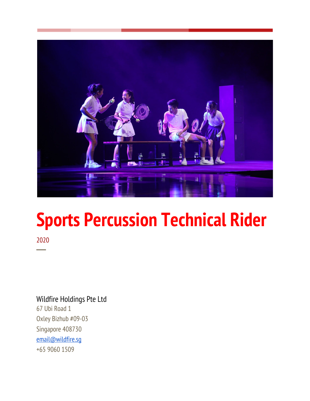

# **Sports Percussion Technical Rider**

2020 ─

# Wildfire Holdings Pte Ltd

67 Ubi Road 1 Oxley Bizhub #09-03 Singapore 408730 [email@wildfire.sg](mailto:email@wildfire.sg) +65 9060 1509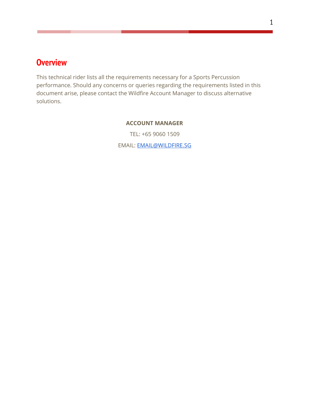# <span id="page-1-0"></span>**Overview**

This technical rider lists all the requirements necessary for a Sports Percussion performance. Should any concerns or queries regarding the requirements listed in this document arise, please contact the Wildfire Account Manager to discuss alternative solutions.

#### **ACCOUNT MANAGER**

TEL: +65 9060 1509

EMAIL: [EMAIL@WILDFIRE.SG](mailto:EMAIL@WILDFIRE.SG)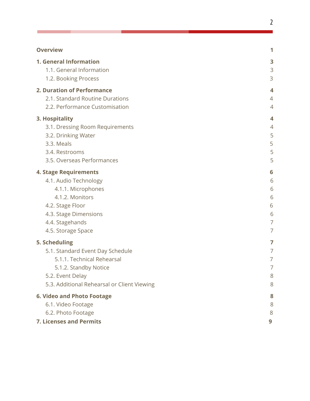#### **Overvie[w](#page-1-0)**

Г

| <b>1. General Information</b>               | 3                  |
|---------------------------------------------|--------------------|
| 1.1. General Information                    | 3                  |
| 1.2. Booking Process                        | 3                  |
| 2. Duration of Performance                  | 4                  |
| 2.1. Standard Routine Durations             | 4                  |
| 2.2. Performance Customisation              | 4                  |
| 3. Hospitality                              | $\overline{\bf 4}$ |
| 3.1. Dressing Room Requirements             | 4                  |
| 3.2. Drinking Water                         | 5                  |
| 3.3. Meals                                  | 5                  |
| 3.4. Restrooms                              | 5                  |
| 3.5. Overseas Performances                  | 5                  |
| <b>4. Stage Requirements</b>                | 6                  |
| 4.1. Audio Technology                       | 6                  |
| 4.1.1. Microphones                          | 6                  |
| 4.1.2. Monitors                             | 6                  |
| 4.2. Stage Floor                            | 6                  |
| 4.3. Stage Dimensions                       | 6                  |
| 4.4. Stagehands                             | 7                  |
| 4.5. Storage Space                          | 7                  |
| 5. Scheduling                               | 7                  |
| 5.1. Standard Event Day Schedule            | 7                  |
| 5.1.1. Technical Rehearsal                  | 7                  |
| 5.1.2. Standby Notice                       | 7                  |
| 5.2. Event Delay                            | 8                  |
| 5.3. Additional Rehearsal or Client Viewing | 8                  |
| <b>6. Video and Photo Footage</b>           | 8                  |
| 6.1. Video Footage                          | 8                  |
| 6.2. Photo Footage                          | 8                  |
| <b>7. Licenses and Permits</b>              | 9                  |

**[1](#page-1-0)**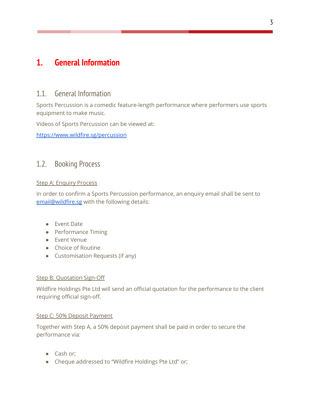# <span id="page-3-1"></span><span id="page-3-0"></span>**1. General Information**

# 1.1. General Information

Sports Percussion is a comedic feature-length performance where performers use sports equipment to make music.

Videos of Sports Percussion can be viewed at:

<https://www.wildfire.sg/percussion>

### <span id="page-3-2"></span>1.2. Booking Process

#### Step A: Enquiry Process

In order to confirm a Sports Percussion performance, an enquiry email shall be sent to [email@wildfire.sg](mailto:email@wildfire.sg) with the following details:

- Event Date
- Performance Timing
- Event Venue
- Choice of Routine
- Customisation Requests (if any)

#### Step B: Quotation Sign-Off

Wildfire Holdings Pte Ltd will send an official quotation for the performance to the client requiring official sign-off.

#### Step C: 50% Deposit Payment

Together with Step A, a 50% deposit payment shall be paid in order to secure the performance via:

- Cash or;
- Cheque addressed to "Wildfire Holdings Pte Ltd" or;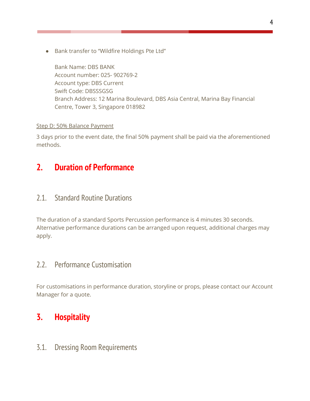● Bank transfer to "Wildfire Holdings Pte Ltd"

Bank Name: DBS BANK Account number: 025- 902769-2 Account type: DBS Current Swift Code: DBSSSGSG Branch Address: 12 Marina Boulevard, DBS Asia Central, Marina Bay Financial Centre, Tower 3, Singapore 018982

#### Step D: 50% Balance Payment

3 days prior to the event date, the final 50% payment shall be paid via the aforementioned methods.

# <span id="page-4-0"></span>**2. Duration of Performance**

# <span id="page-4-1"></span>2.1. Standard Routine Durations

The duration of a standard Sports Percussion performance is 4 minutes 30 seconds. Alternative performance durations can be arranged upon request, additional charges may apply.

# <span id="page-4-2"></span>2.2. Performance Customisation

For customisations in performance duration, storyline or props, please contact our Account Manager for a quote.

# **3. Hospitality**

<span id="page-4-3"></span>3.1. Dressing Room Requirements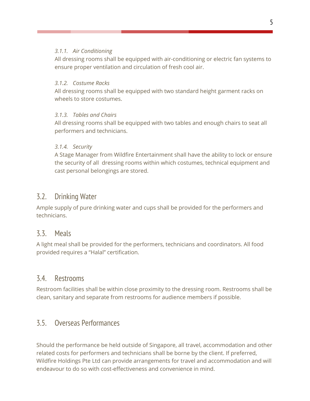#### *3.1.1. Air Conditioning*

All dressing rooms shall be equipped with air-conditioning or electric fan systems to ensure proper ventilation and circulation of fresh cool air.

#### *3.1.2. Costume Racks*

All dressing rooms shall be equipped with two standard height garment racks on wheels to store costumes.

### *3.1.3. Tables and Chairs*

All dressing rooms shall be equipped with two tables and enough chairs to seat all performers and technicians.

### *3.1.4. Security*

A Stage Manager from Wildfire Entertainment shall have the ability to lock or ensure the security of all dressing rooms within which costumes, technical equipment and cast personal belongings are stored.

## <span id="page-5-0"></span>3.2. Drinking Water

Ample supply of pure drinking water and cups shall be provided for the performers and technicians.

### <span id="page-5-1"></span>3.3. Meals

A light meal shall be provided for the performers, technicians and coordinators. All food provided requires a "Halal" certification.

### <span id="page-5-2"></span>3.4. Restrooms

Restroom facilities shall be within close proximity to the dressing room. Restrooms shall be clean, sanitary and separate from restrooms for audience members if possible.

# <span id="page-5-3"></span>3.5. Overseas Performances

Should the performance be held outside of Singapore, all travel, accommodation and other related costs for performers and technicians shall be borne by the client. If preferred, Wildfire Holdings Pte Ltd can provide arrangements for travel and accommodation and will endeavour to do so with cost-effectiveness and convenience in mind.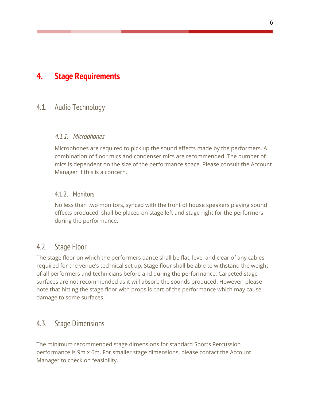# <span id="page-6-1"></span><span id="page-6-0"></span>**4. Stage Requirements**

### <span id="page-6-2"></span>4.1. Audio Technology

### 4.1.1. Microphones

Microphones are required to pick up the sound effects made by the performers. A combination of floor mics and condenser mics are recommended. The number of mics is dependent on the size of the performance space. Please consult the Account Manager if this is a concern.

### <span id="page-6-3"></span>4.1.2. Monitors

No less than two monitors, synced with the front of house speakers playing sound effects produced, shall be placed on stage left and stage right for the performers during the performance.

### <span id="page-6-4"></span>4.2. Stage Floor

The stage floor on which the performers dance shall be flat, level and clear of any cables required for the venue's technical set up. Stage floor shall be able to withstand the weight of all performers and technicians before and during the performance. Carpeted stage surfaces are not recommended as it will absorb the sounds produced. However, please note that hitting the stage floor with props is part of the performance which may cause damage to some surfaces.

### <span id="page-6-5"></span>4.3. Stage Dimensions

The minimum recommended stage dimensions for standard Sports Percussion performance is 9m x 6m. For smaller stage dimensions, please contact the Account Manager to check on feasibility.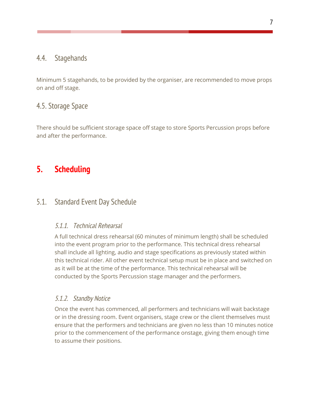# <span id="page-7-0"></span>4.4. Stagehands

Minimum 5 stagehands, to be provided by the organiser, are recommended to move props on and off stage.

# <span id="page-7-1"></span>4.5. Storage Space

There should be sufficient storage space off stage to store Sports Percussion props before and after the performance.

# <span id="page-7-2"></span>**5. Scheduling**

# <span id="page-7-4"></span><span id="page-7-3"></span>5.1. Standard Event Day Schedule

### 5.1.1. Technical Rehearsal

A full technical dress rehearsal (60 minutes of minimum length) shall be scheduled into the event program prior to the performance. This technical dress rehearsal shall include all lighting, audio and stage specifications as previously stated within this technical rider. All other event technical setup must be in place and switched on as it will be at the time of the performance. This technical rehearsal will be conducted by the Sports Percussion stage manager and the performers.

### <span id="page-7-5"></span>5.1.2. Standby Notice

Once the event has commenced, all performers and technicians will wait backstage or in the dressing room. Event organisers, stage crew or the client themselves must ensure that the performers and technicians are given no less than 10 minutes notice prior to the commencement of the performance onstage, giving them enough time to assume their positions.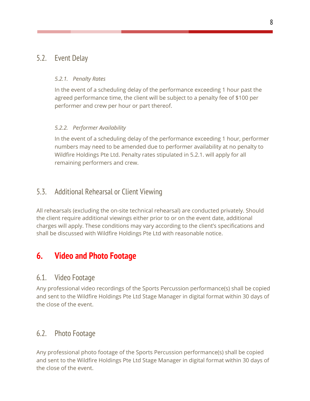# <span id="page-8-0"></span>5.2. Event Delay

#### *5.2.1. Penalty Rates*

In the event of a scheduling delay of the performance exceeding 1 hour past the agreed performance time, the client will be subject to a penalty fee of \$100 per performer and crew per hour or part thereof.

### *5.2.2. Performer Availability*

In the event of a scheduling delay of the performance exceeding 1 hour, performer numbers may need to be amended due to performer availability at no penalty to Wildfire Holdings Pte Ltd. Penalty rates stipulated in 5.2.1. will apply for all remaining performers and crew.

# <span id="page-8-1"></span>5.3. Additional Rehearsal or Client Viewing

All rehearsals (excluding the on-site technical rehearsal) are conducted privately. Should the client require additional viewings either prior to or on the event date, additional charges will apply. These conditions may vary according to the client's specifications and shall be discussed with Wildfire Holdings Pte Ltd with reasonable notice.

# <span id="page-8-2"></span>**6. Video and Photo Footage**

### <span id="page-8-3"></span>6.1. Video Footage

Any professional video recordings of the Sports Percussion performance(s) shall be copied and sent to the Wildfire Holdings Pte Ltd Stage Manager in digital format within 30 days of the close of the event.

### <span id="page-8-4"></span>6.2. Photo Footage

Any professional photo footage of the Sports Percussion performance(s) shall be copied and sent to the Wildfire Holdings Pte Ltd Stage Manager in digital format within 30 days of the close of the event.